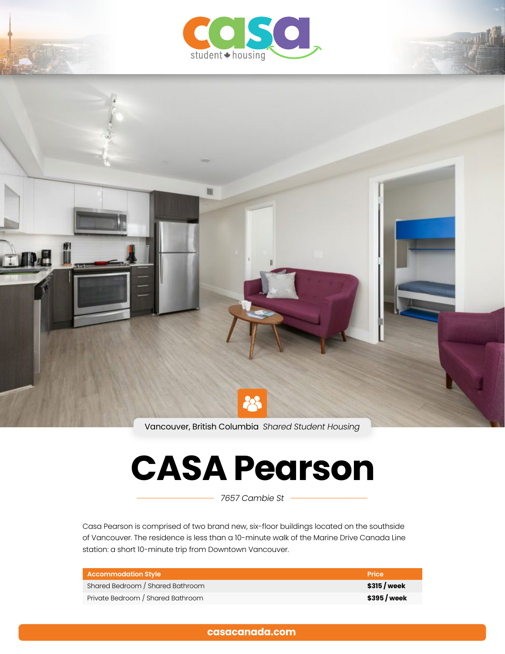



Vancouver, British Columbia *Shared Student Housing*

# **CASA Pearson**

*7657 Cambie St*

Casa Pearson is comprised of two brand new, six-floor buildings located on the southside of Vancouver. The residence is less than a 10-minute walk of the Marine Drive Canada Line station: a short 10-minute trip from Downtown Vancouver.

| <b>Accommodation Style</b>        | <b>Price</b>  |
|-----------------------------------|---------------|
| Shared Bedroom / Shared Bathroom  | $$315$ / week |
| Private Bedroom / Shared Bathroom | \$395 / week  |